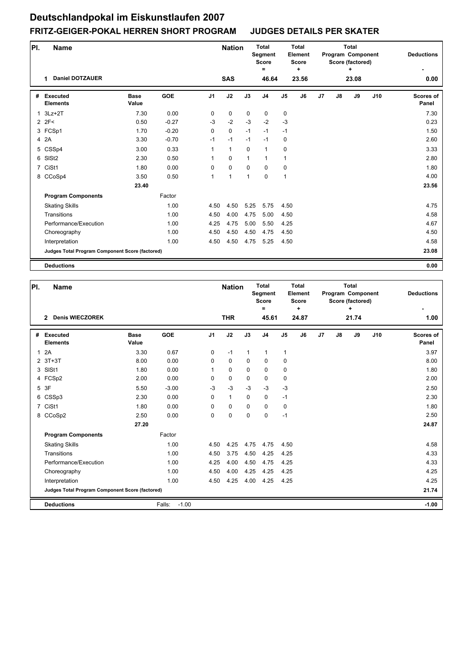| PI. | Name                                            |                      |            |                | <b>Nation</b> |             | <b>Total</b><br>Segment<br><b>Score</b><br>Ξ |                | <b>Total</b><br>Element<br><b>Score</b><br>٠ |    |               | <b>Total</b><br>Program Component<br>Score (factored)<br>٠ |     | <b>Deductions</b>         |
|-----|-------------------------------------------------|----------------------|------------|----------------|---------------|-------------|----------------------------------------------|----------------|----------------------------------------------|----|---------------|------------------------------------------------------------|-----|---------------------------|
|     | <b>Daniel DOTZAUER</b><br>1                     |                      |            |                | <b>SAS</b>    |             | 46.64                                        |                | 23.56                                        |    |               | 23.08                                                      |     | 0.00                      |
| #   | <b>Executed</b><br><b>Elements</b>              | <b>Base</b><br>Value | <b>GOE</b> | J <sub>1</sub> | J2            | J3          | J <sub>4</sub>                               | $\mathsf{J}5$  | J <sub>6</sub>                               | J7 | $\mathsf{J}8$ | J9                                                         | J10 | <b>Scores of</b><br>Panel |
| 1   | $3Lz + 2T$                                      | 7.30                 | 0.00       | 0              | 0             | $\mathbf 0$ | 0                                            | 0              |                                              |    |               |                                                            |     | 7.30                      |
|     | 2 2F<                                           | 0.50                 | $-0.27$    | $-3$           | $-2$          | $-3$        | $-2$                                         | $-3$           |                                              |    |               |                                                            |     | 0.23                      |
|     | 3 FCSp1                                         | 1.70                 | $-0.20$    | $\Omega$       | $\mathbf 0$   | $-1$        | $-1$                                         | $-1$           |                                              |    |               |                                                            |     | 1.50                      |
|     | 4 2A                                            | 3.30                 | $-0.70$    | $-1$           | $-1$          | $-1$        | $-1$                                         | 0              |                                              |    |               |                                                            |     | 2.60                      |
|     | 5 CSSp4                                         | 3.00                 | 0.33       | 1              | $\mathbf{1}$  | $\mathbf 0$ | $\mathbf{1}$                                 | 0              |                                              |    |               |                                                            |     | 3.33                      |
| 6   | SISt <sub>2</sub>                               | 2.30                 | 0.50       | 1              | $\mathbf 0$   | 1           | $\mathbf{1}$                                 | $\mathbf{1}$   |                                              |    |               |                                                            |     | 2.80                      |
|     | 7 CiSt1                                         | 1.80                 | 0.00       | 0              | $\mathbf 0$   | $\mathbf 0$ | 0                                            | 0              |                                              |    |               |                                                            |     | 1.80                      |
|     | 8 CCoSp4                                        | 3.50                 | 0.50       | 1              | 1             | 1           | $\mathbf 0$                                  | $\overline{1}$ |                                              |    |               |                                                            |     | 4.00                      |
|     |                                                 | 23.40                |            |                |               |             |                                              |                |                                              |    |               |                                                            |     | 23.56                     |
|     | <b>Program Components</b>                       |                      | Factor     |                |               |             |                                              |                |                                              |    |               |                                                            |     |                           |
|     | <b>Skating Skills</b>                           |                      | 1.00       | 4.50           | 4.50          | 5.25        | 5.75                                         | 4.50           |                                              |    |               |                                                            |     | 4.75                      |
|     | Transitions                                     |                      | 1.00       | 4.50           | 4.00          | 4.75        | 5.00                                         | 4.50           |                                              |    |               |                                                            |     | 4.58                      |
|     | Performance/Execution                           |                      | 1.00       | 4.25           | 4.75          | 5.00        | 5.50                                         | 4.25           |                                              |    |               |                                                            |     | 4.67                      |
|     | Choreography                                    |                      | 1.00       | 4.50           | 4.50          | 4.50        | 4.75                                         | 4.50           |                                              |    |               |                                                            |     | 4.50                      |
|     | Interpretation                                  |                      | 1.00       | 4.50           | 4.50          | 4.75        | 5.25                                         | 4.50           |                                              |    |               |                                                            |     | 4.58                      |
|     | Judges Total Program Component Score (factored) |                      |            |                |               |             |                                              |                |                                              |    |               |                                                            |     | 23.08                     |
|     | <b>Deductions</b>                               |                      |            |                |               |             |                                              |                |                                              |    |               |                                                            |     | 0.00                      |

| PI.            | <b>Name</b>                                     |                      |                   |                | <b>Nation</b> |              | <b>Total</b><br>Segment<br><b>Score</b><br>$\equiv$ |                | <b>Total</b><br>Element<br><b>Score</b><br>٠ |    |               | <b>Total</b><br>Program Component<br>Score (factored)<br>÷ |     | <b>Deductions</b>  |
|----------------|-------------------------------------------------|----------------------|-------------------|----------------|---------------|--------------|-----------------------------------------------------|----------------|----------------------------------------------|----|---------------|------------------------------------------------------------|-----|--------------------|
|                | <b>Denis WIECZOREK</b><br>$\mathbf{2}$          |                      |                   |                | <b>THR</b>    |              | 45.61                                               |                | 24.87                                        |    |               | 21.74                                                      |     | 1.00               |
| #              | Executed<br><b>Elements</b>                     | <b>Base</b><br>Value | <b>GOE</b>        | J <sub>1</sub> | J2            | J3           | J <sub>4</sub>                                      | J <sub>5</sub> | J6                                           | J7 | $\mathsf{J}8$ | J9                                                         | J10 | Scores of<br>Panel |
| $\mathbf{1}$   | 2A                                              | 3.30                 | 0.67              | 0              | $-1$          | $\mathbf{1}$ | $\mathbf{1}$                                        | $\mathbf{1}$   |                                              |    |               |                                                            |     | 3.97               |
|                | $2$ 3T+3T                                       | 8.00                 | 0.00              | $\Omega$       | $\mathbf 0$   | 0            | $\mathbf 0$                                         | 0              |                                              |    |               |                                                            |     | 8.00               |
| 3              | SISt1                                           | 1.80                 | 0.00              | 1              | 0             | $\Omega$     | $\Omega$                                            | 0              |                                              |    |               |                                                            |     | 1.80               |
|                | 4 FCSp2                                         | 2.00                 | 0.00              | $\mathbf 0$    | $\pmb{0}$     | 0            | $\mathbf 0$                                         | 0              |                                              |    |               |                                                            |     | 2.00               |
|                | 5 3F                                            | 5.50                 | $-3.00$           | $-3$           | $-3$          | $-3$         | $-3$                                                | $-3$           |                                              |    |               |                                                            |     | 2.50               |
| 6              | CSSp3                                           | 2.30                 | 0.00              | 0              | $\mathbf{1}$  | $\mathbf 0$  | 0                                                   | $-1$           |                                              |    |               |                                                            |     | 2.30               |
| $\overline{7}$ | CiSt1                                           | 1.80                 | 0.00              | $\Omega$       | $\mathbf 0$   | $\Omega$     | $\Omega$                                            | 0              |                                              |    |               |                                                            |     | 1.80               |
|                | 8 CCoSp2                                        | 2.50                 | 0.00              | 0              | 0             | $\mathbf 0$  | $\mathbf 0$                                         | $-1$           |                                              |    |               |                                                            |     | 2.50               |
|                |                                                 | 27.20                |                   |                |               |              |                                                     |                |                                              |    |               |                                                            |     | 24.87              |
|                | <b>Program Components</b>                       |                      | Factor            |                |               |              |                                                     |                |                                              |    |               |                                                            |     |                    |
|                | <b>Skating Skills</b>                           |                      | 1.00              | 4.50           | 4.25          | 4.75         | 4.75                                                | 4.50           |                                              |    |               |                                                            |     | 4.58               |
|                | Transitions                                     |                      | 1.00              | 4.50           | 3.75          | 4.50         | 4.25                                                | 4.25           |                                              |    |               |                                                            |     | 4.33               |
|                | Performance/Execution                           |                      | 1.00              | 4.25           | 4.00          | 4.50         | 4.75                                                | 4.25           |                                              |    |               |                                                            |     | 4.33               |
|                | Choreography                                    |                      | 1.00              | 4.50           | 4.00          | 4.25         | 4.25                                                | 4.25           |                                              |    |               |                                                            |     | 4.25               |
|                | Interpretation                                  |                      | 1.00              | 4.50           | 4.25          | 4.00         | 4.25                                                | 4.25           |                                              |    |               |                                                            |     | 4.25               |
|                | Judges Total Program Component Score (factored) |                      |                   |                |               |              |                                                     |                |                                              |    |               |                                                            |     | 21.74              |
|                | <b>Deductions</b>                               |                      | $-1.00$<br>Falls: |                |               |              |                                                     |                |                                              |    |               |                                                            |     | $-1.00$            |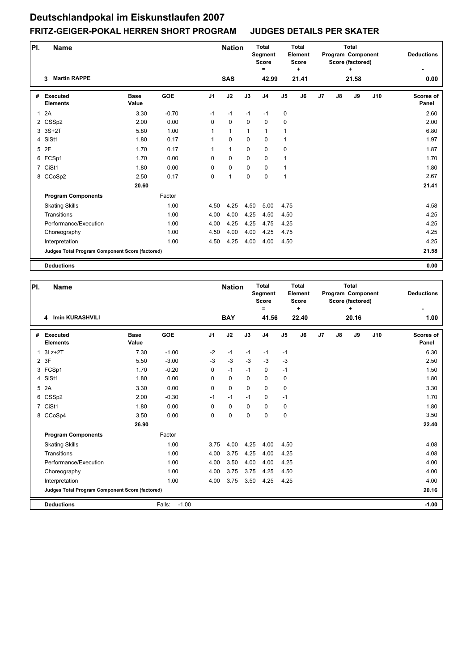| PI.          | Name                                            |                      |         |                | <b>Nation</b> |              | <b>Total</b><br>Segment<br><b>Score</b><br>Ξ |                | <b>Total</b><br>Element<br><b>Score</b><br>$\ddot{}$ |    |               | <b>Total</b><br>Program Component<br>Score (factored)<br>٠ |     | <b>Deductions</b>         |
|--------------|-------------------------------------------------|----------------------|---------|----------------|---------------|--------------|----------------------------------------------|----------------|------------------------------------------------------|----|---------------|------------------------------------------------------------|-----|---------------------------|
|              | <b>Martin RAPPE</b><br>3                        |                      |         |                | <b>SAS</b>    |              | 42.99                                        |                | 21.41                                                |    |               | 21.58                                                      |     | 0.00                      |
| #            | <b>Executed</b><br><b>Elements</b>              | <b>Base</b><br>Value | GOE     | J <sub>1</sub> | J2            | J3           | J <sub>4</sub>                               | J <sub>5</sub> | J6                                                   | J7 | $\mathsf{J}8$ | J9                                                         | J10 | <b>Scores of</b><br>Panel |
| $\mathbf{1}$ | 2A                                              | 3.30                 | $-0.70$ | $-1$           | $-1$          | $-1$         | $-1$                                         | 0              |                                                      |    |               |                                                            |     | 2.60                      |
|              | 2 CSSp2                                         | 2.00                 | 0.00    | 0              | $\mathbf 0$   | $\Omega$     | $\mathbf 0$                                  | 0              |                                                      |    |               |                                                            |     | 2.00                      |
|              | 3 3S+2T                                         | 5.80                 | 1.00    | $\mathbf{1}$   | $\mathbf{1}$  | $\mathbf{1}$ | $\mathbf{1}$                                 | $\mathbf{1}$   |                                                      |    |               |                                                            |     | 6.80                      |
|              | 4 SISt1                                         | 1.80                 | 0.17    | 1              | $\mathbf 0$   | $\mathbf 0$  | $\mathbf 0$                                  | 1              |                                                      |    |               |                                                            |     | 1.97                      |
|              | 5 2F                                            | 1.70                 | 0.17    | 1              | $\mathbf{1}$  | $\mathbf 0$  | $\mathbf 0$                                  | 0              |                                                      |    |               |                                                            |     | 1.87                      |
|              | 6 FCSp1                                         | 1.70                 | 0.00    | $\Omega$       | $\mathbf 0$   | $\Omega$     | $\mathbf 0$                                  | $\mathbf{1}$   |                                                      |    |               |                                                            |     | 1.70                      |
|              | 7 CiSt1                                         | 1.80                 | 0.00    | 0              | $\mathbf 0$   | $\mathbf 0$  | $\mathbf 0$                                  | $\mathbf{1}$   |                                                      |    |               |                                                            |     | 1.80                      |
|              | 8 CCoSp2                                        | 2.50                 | 0.17    | 0              | $\mathbf{1}$  | $\mathbf 0$  | $\mathbf 0$                                  | 1              |                                                      |    |               |                                                            |     | 2.67                      |
|              |                                                 | 20.60                |         |                |               |              |                                              |                |                                                      |    |               |                                                            |     | 21.41                     |
|              | <b>Program Components</b>                       |                      | Factor  |                |               |              |                                              |                |                                                      |    |               |                                                            |     |                           |
|              | <b>Skating Skills</b>                           |                      | 1.00    | 4.50           | 4.25          | 4.50         | 5.00                                         | 4.75           |                                                      |    |               |                                                            |     | 4.58                      |
|              | Transitions                                     |                      | 1.00    | 4.00           | 4.00          | 4.25         | 4.50                                         | 4.50           |                                                      |    |               |                                                            |     | 4.25                      |
|              | Performance/Execution                           |                      | 1.00    | 4.00           | 4.25          | 4.25         | 4.75                                         | 4.25           |                                                      |    |               |                                                            |     | 4.25                      |
|              | Choreography                                    |                      | 1.00    | 4.50           | 4.00          | 4.00         | 4.25                                         | 4.75           |                                                      |    |               |                                                            |     | 4.25                      |
|              | Interpretation                                  |                      | 1.00    | 4.50           | 4.25          | 4.00         | 4.00                                         | 4.50           |                                                      |    |               |                                                            |     | 4.25                      |
|              | Judges Total Program Component Score (factored) |                      |         |                |               |              |                                              |                |                                                      |    |               |                                                            |     | 21.58                     |
|              | <b>Deductions</b>                               |                      |         |                |               |              |                                              |                |                                                      |    |               |                                                            |     | 0.00                      |

| PI.            | <b>Name</b>                                     |                      |                   |                | <b>Nation</b> |             | <b>Total</b><br>Segment<br><b>Score</b><br>$\equiv$ |                | <b>Total</b><br>Element<br><b>Score</b><br>٠ |    |               | <b>Total</b><br>Program Component<br>Score (factored)<br>÷ |     | <b>Deductions</b>  |
|----------------|-------------------------------------------------|----------------------|-------------------|----------------|---------------|-------------|-----------------------------------------------------|----------------|----------------------------------------------|----|---------------|------------------------------------------------------------|-----|--------------------|
|                | <b>Imin KURASHVILI</b><br>4                     |                      |                   |                | <b>BAY</b>    |             | 41.56                                               |                | 22.40                                        |    |               | 20.16                                                      |     | 1.00               |
| #              | Executed<br><b>Elements</b>                     | <b>Base</b><br>Value | <b>GOE</b>        | J <sub>1</sub> | J2            | J3          | J <sub>4</sub>                                      | J <sub>5</sub> | J6                                           | J7 | $\mathsf{J}8$ | J9                                                         | J10 | Scores of<br>Panel |
| $\mathbf{1}$   | $3Lz + 2T$                                      | 7.30                 | $-1.00$           | $-2$           | $-1$          | $-1$        | $-1$                                                | $-1$           |                                              |    |               |                                                            |     | 6.30               |
|                | 2 3F                                            | 5.50                 | $-3.00$           | $-3$           | $-3$          | $-3$        | $-3$                                                | $-3$           |                                              |    |               |                                                            |     | 2.50               |
|                | 3 FCSp1                                         | 1.70                 | $-0.20$           | $\Omega$       | $-1$          | $-1$        | $\mathbf 0$                                         | $-1$           |                                              |    |               |                                                            |     | 1.50               |
| 4              | SISt1                                           | 1.80                 | 0.00              | 0              | $\mathbf 0$   | $\mathbf 0$ | $\mathbf 0$                                         | 0              |                                              |    |               |                                                            |     | 1.80               |
| 5              | 2A                                              | 3.30                 | 0.00              | $\Omega$       | $\mathbf 0$   | $\Omega$    | $\Omega$                                            | 0              |                                              |    |               |                                                            |     | 3.30               |
| 6              | CSSp2                                           | 2.00                 | $-0.30$           | $-1$           | $-1$          | $-1$        | 0                                                   | $-1$           |                                              |    |               |                                                            |     | 1.70               |
| $\overline{7}$ | CiSt1                                           | 1.80                 | 0.00              | $\Omega$       | $\mathbf 0$   | $\Omega$    | $\Omega$                                            | 0              |                                              |    |               |                                                            |     | 1.80               |
| 8              | CCoSp4                                          | 3.50                 | 0.00              | $\mathbf 0$    | 0             | $\mathbf 0$ | $\mathbf 0$                                         | 0              |                                              |    |               |                                                            |     | 3.50               |
|                |                                                 | 26.90                |                   |                |               |             |                                                     |                |                                              |    |               |                                                            |     | 22.40              |
|                | <b>Program Components</b>                       |                      | Factor            |                |               |             |                                                     |                |                                              |    |               |                                                            |     |                    |
|                | <b>Skating Skills</b>                           |                      | 1.00              | 3.75           | 4.00          | 4.25        | 4.00                                                | 4.50           |                                              |    |               |                                                            |     | 4.08               |
|                | Transitions                                     |                      | 1.00              | 4.00           | 3.75          | 4.25        | 4.00                                                | 4.25           |                                              |    |               |                                                            |     | 4.08               |
|                | Performance/Execution                           |                      | 1.00              | 4.00           | 3.50          | 4.00        | 4.00                                                | 4.25           |                                              |    |               |                                                            |     | 4.00               |
|                | Choreography                                    |                      | 1.00              | 4.00           | 3.75          | 3.75        | 4.25                                                | 4.50           |                                              |    |               |                                                            |     | 4.00               |
|                | Interpretation                                  |                      | 1.00              | 4.00           | 3.75          | 3.50        | 4.25                                                | 4.25           |                                              |    |               |                                                            |     | 4.00               |
|                | Judges Total Program Component Score (factored) |                      |                   |                |               |             |                                                     |                |                                              |    |               |                                                            |     | 20.16              |
|                | <b>Deductions</b>                               |                      | $-1.00$<br>Falls: |                |               |             |                                                     |                |                                              |    |               |                                                            |     | $-1.00$            |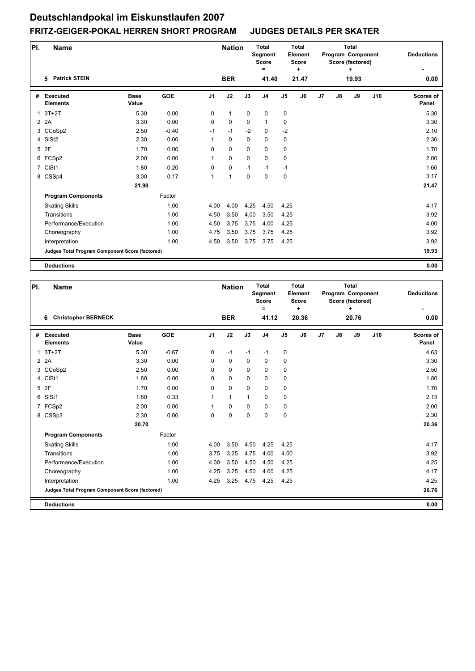| PI. | <b>Name</b>                                     |                      |            |                | <b>Nation</b> |             | <b>Total</b><br>Segment<br><b>Score</b><br>$\equiv$ |                | <b>Total</b><br>Element<br><b>Score</b><br>٠ |                |               | <b>Total</b><br>Program Component<br>Score (factored)<br>٠ |     | <b>Deductions</b>         |
|-----|-------------------------------------------------|----------------------|------------|----------------|---------------|-------------|-----------------------------------------------------|----------------|----------------------------------------------|----------------|---------------|------------------------------------------------------------|-----|---------------------------|
|     | <b>Patrick STEIN</b><br>5                       |                      |            |                | <b>BER</b>    |             | 41.40                                               |                | 21.47                                        |                |               | 19.93                                                      |     | 0.00                      |
| #   | <b>Executed</b><br><b>Elements</b>              | <b>Base</b><br>Value | <b>GOE</b> | J <sub>1</sub> | J2            | J3          | J <sub>4</sub>                                      | J <sub>5</sub> | J6                                           | J <sub>7</sub> | $\mathsf{J}8$ | J9                                                         | J10 | <b>Scores of</b><br>Panel |
|     | $1.3T+2T$                                       | 5.30                 | 0.00       | 0              | $\mathbf{1}$  | $\mathbf 0$ | $\mathbf 0$                                         | 0              |                                              |                |               |                                                            |     | 5.30                      |
|     | 2 2 A                                           | 3.30                 | 0.00       | 0              | $\mathbf 0$   | $\Omega$    | $\mathbf{1}$                                        | 0              |                                              |                |               |                                                            |     | 3.30                      |
|     | 3 CCoSp2                                        | 2.50                 | $-0.40$    | $-1$           | $-1$          | $-2$        | $\mathbf{0}$                                        | $-2$           |                                              |                |               |                                                            |     | 2.10                      |
|     | 4 SISt2                                         | 2.30                 | 0.00       | 1              | $\mathbf 0$   | $\mathbf 0$ | $\mathbf 0$                                         | 0              |                                              |                |               |                                                            |     | 2.30                      |
|     | 5 2F                                            | 1.70                 | 0.00       | 0              | $\mathbf 0$   | $\mathbf 0$ | $\mathbf 0$                                         | 0              |                                              |                |               |                                                            |     | 1.70                      |
|     | 6 FCSp2                                         | 2.00                 | 0.00       | 1              | $\mathbf 0$   | $\Omega$    | $\mathbf 0$                                         | 0              |                                              |                |               |                                                            |     | 2.00                      |
|     | 7 CiSt1                                         | 1.80                 | $-0.20$    | 0              | $\mathbf 0$   | $-1$        | $-1$                                                | $-1$           |                                              |                |               |                                                            |     | 1.60                      |
|     | 8 CSSp4                                         | 3.00                 | 0.17       | 1              | 1             | $\mathbf 0$ | $\mathbf 0$                                         | 0              |                                              |                |               |                                                            |     | 3.17                      |
|     |                                                 | 21.90                |            |                |               |             |                                                     |                |                                              |                |               |                                                            |     | 21.47                     |
|     | <b>Program Components</b>                       |                      | Factor     |                |               |             |                                                     |                |                                              |                |               |                                                            |     |                           |
|     | <b>Skating Skills</b>                           |                      | 1.00       | 4.00           | 4.00          | 4.25        | 4.50                                                | 4.25           |                                              |                |               |                                                            |     | 4.17                      |
|     | Transitions                                     |                      | 1.00       | 4.50           | 3.50          | 4.00        | 3.50                                                | 4.25           |                                              |                |               |                                                            |     | 3.92                      |
|     | Performance/Execution                           |                      | 1.00       | 4.50           | 3.75          | 3.75        | 4.00                                                | 4.25           |                                              |                |               |                                                            |     | 4.00                      |
|     | Choreography                                    |                      | 1.00       | 4.75           | 3.50          | 3.75        | 3.75                                                | 4.25           |                                              |                |               |                                                            |     | 3.92                      |
|     | Interpretation                                  |                      | 1.00       | 4.50           | 3.50          | 3.75        | 3.75                                                | 4.25           |                                              |                |               |                                                            |     | 3.92                      |
|     | Judges Total Program Component Score (factored) |                      |            |                |               |             |                                                     |                |                                              |                |               |                                                            |     | 19.93                     |
|     | <b>Deductions</b>                               |                      |            |                |               |             |                                                     |                |                                              |                |               |                                                            |     | 0.00                      |

| PI.            | <b>Name</b>                                     |                      |            |                | <b>Nation</b> |             | <b>Total</b><br>Segment<br><b>Score</b><br>$\equiv$ |                | <b>Total</b><br>Element<br><b>Score</b><br>÷ |    |    | <b>Total</b><br>Program Component<br>Score (factored)<br>÷ |     | <b>Deductions</b>  |
|----------------|-------------------------------------------------|----------------------|------------|----------------|---------------|-------------|-----------------------------------------------------|----------------|----------------------------------------------|----|----|------------------------------------------------------------|-----|--------------------|
|                | <b>Christopher BERNECK</b><br>6                 |                      |            |                | <b>BER</b>    |             | 41.12                                               |                | 20.36                                        |    |    | 20.76                                                      |     | 0.00               |
| #              | <b>Executed</b><br><b>Elements</b>              | <b>Base</b><br>Value | <b>GOE</b> | J <sub>1</sub> | J2            | J3          | J <sub>4</sub>                                      | J <sub>5</sub> | J6                                           | J7 | J8 | J9                                                         | J10 | Scores of<br>Panel |
| $\mathbf{1}$   | $3T+2T$                                         | 5.30                 | $-0.67$    | 0              | $-1$          | $-1$        | $-1$                                                | 0              |                                              |    |    |                                                            |     | 4.63               |
|                | 2 2 A                                           | 3.30                 | 0.00       | $\Omega$       | $\mathbf 0$   | $\Omega$    | $\mathbf 0$                                         | 0              |                                              |    |    |                                                            |     | 3.30               |
|                | 3 CCoSp2                                        | 2.50                 | 0.00       | $\Omega$       | $\mathbf 0$   | $\Omega$    | $\Omega$                                            | 0              |                                              |    |    |                                                            |     | 2.50               |
| $\overline{4}$ | CiSt1                                           | 1.80                 | 0.00       | 0              | $\mathbf 0$   | $\mathbf 0$ | $\mathbf 0$                                         | 0              |                                              |    |    |                                                            |     | 1.80               |
| 5              | 2F                                              | 1.70                 | 0.00       | $\Omega$       | $\mathbf 0$   | $\mathbf 0$ | $\mathbf 0$                                         | 0              |                                              |    |    |                                                            |     | 1.70               |
| 6              | SISt1                                           | 1.80                 | 0.33       | 1              | $\mathbf{1}$  | 1           | $\mathbf 0$                                         | 0              |                                              |    |    |                                                            |     | 2.13               |
|                | 7 FCSp2                                         | 2.00                 | 0.00       | 1              | $\mathbf 0$   | $\mathbf 0$ | $\mathbf 0$                                         | 0              |                                              |    |    |                                                            |     | 2.00               |
|                | 8 CSSp3                                         | 2.30                 | 0.00       | 0              | $\pmb{0}$     | $\mathbf 0$ | $\mathbf 0$                                         | $\pmb{0}$      |                                              |    |    |                                                            |     | 2.30               |
|                |                                                 | 20.70                |            |                |               |             |                                                     |                |                                              |    |    |                                                            |     | 20.36              |
|                | <b>Program Components</b>                       |                      | Factor     |                |               |             |                                                     |                |                                              |    |    |                                                            |     |                    |
|                | <b>Skating Skills</b>                           |                      | 1.00       | 4.00           | 3.50          | 4.50        | 4.25                                                | 4.25           |                                              |    |    |                                                            |     | 4.17               |
|                | Transitions                                     |                      | 1.00       | 3.75           | 3.25          | 4.75        | 4.00                                                | 4.00           |                                              |    |    |                                                            |     | 3.92               |
|                | Performance/Execution                           |                      | 1.00       | 4.00           | 3.50          | 4.50        | 4.50                                                | 4.25           |                                              |    |    |                                                            |     | 4.25               |
|                | Choreography                                    |                      | 1.00       | 4.25           | 3.25          | 4.50        | 4.00                                                | 4.25           |                                              |    |    |                                                            |     | 4.17               |
|                | Interpretation                                  |                      | 1.00       | 4.25           | 3.25          | 4.75        | 4.25                                                | 4.25           |                                              |    |    |                                                            |     | 4.25               |
|                | Judges Total Program Component Score (factored) |                      |            |                |               |             |                                                     |                |                                              |    |    |                                                            |     | 20.76              |
|                | <b>Deductions</b>                               |                      |            |                |               |             |                                                     |                |                                              |    |    |                                                            |     | 0.00               |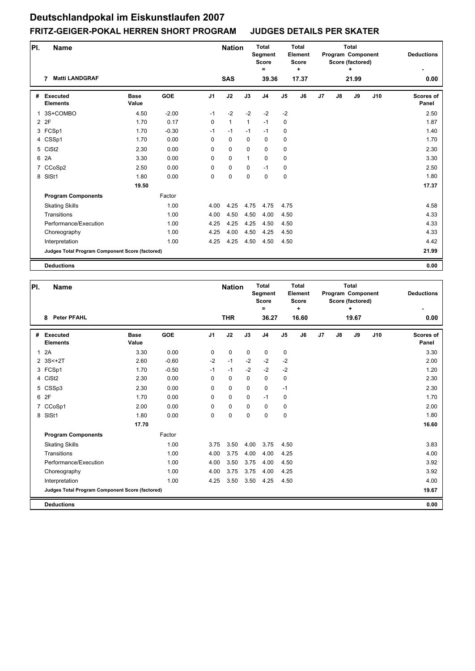| PI. | Name                                            |                      |            |                | <b>Nation</b> |              | <b>Total</b><br>Segment<br><b>Score</b><br>Ξ |                | <b>Total</b><br>Element<br><b>Score</b><br>٠ |    |               | <b>Total</b><br>Program Component<br>Score (factored)<br>٠ |     | <b>Deductions</b>         |
|-----|-------------------------------------------------|----------------------|------------|----------------|---------------|--------------|----------------------------------------------|----------------|----------------------------------------------|----|---------------|------------------------------------------------------------|-----|---------------------------|
|     | <b>Matti LANDGRAF</b><br>7                      |                      |            |                | <b>SAS</b>    |              | 39.36                                        |                | 17.37                                        |    |               | 21.99                                                      |     | 0.00                      |
| #   | <b>Executed</b><br><b>Elements</b>              | <b>Base</b><br>Value | <b>GOE</b> | J <sub>1</sub> | J2            | J3           | J <sub>4</sub>                               | J <sub>5</sub> | J6                                           | J7 | $\mathsf{J}8$ | J9                                                         | J10 | <b>Scores of</b><br>Panel |
| 1   | 3S+COMBO                                        | 4.50                 | $-2.00$    | $-1$           | $-2$          | $-2$         | $-2$                                         | $-2$           |                                              |    |               |                                                            |     | 2.50                      |
|     | 2 2F                                            | 1.70                 | 0.17       | 0              | $\mathbf{1}$  | $\mathbf{1}$ | $-1$                                         | 0              |                                              |    |               |                                                            |     | 1.87                      |
|     | 3 FCSp1                                         | 1.70                 | $-0.30$    | $-1$           | $-1$          | $-1$         | $-1$                                         | 0              |                                              |    |               |                                                            |     | 1.40                      |
|     | 4 CSSp1                                         | 1.70                 | 0.00       | 0              | $\mathbf 0$   | $\mathbf 0$  | $\mathbf 0$                                  | $\pmb{0}$      |                                              |    |               |                                                            |     | 1.70                      |
|     | 5 CiSt2                                         | 2.30                 | 0.00       | 0              | $\mathbf 0$   | $\mathbf 0$  | $\mathbf 0$                                  | 0              |                                              |    |               |                                                            |     | 2.30                      |
| 6   | 2A                                              | 3.30                 | 0.00       | 0              | $\mathbf 0$   | 1            | $\mathbf 0$                                  | 0              |                                              |    |               |                                                            |     | 3.30                      |
|     | 7 CCoSp2                                        | 2.50                 | 0.00       | 0              | 0             | $\mathbf 0$  | $-1$                                         | 0              |                                              |    |               |                                                            |     | 2.50                      |
| 8   | SISt1                                           | 1.80                 | 0.00       | 0              | 0             | $\Omega$     | $\mathbf 0$                                  | $\mathbf 0$    |                                              |    |               |                                                            |     | 1.80                      |
|     |                                                 | 19.50                |            |                |               |              |                                              |                |                                              |    |               |                                                            |     | 17.37                     |
|     | <b>Program Components</b>                       |                      | Factor     |                |               |              |                                              |                |                                              |    |               |                                                            |     |                           |
|     | <b>Skating Skills</b>                           |                      | 1.00       | 4.00           | 4.25          | 4.75         | 4.75                                         | 4.75           |                                              |    |               |                                                            |     | 4.58                      |
|     | Transitions                                     |                      | 1.00       | 4.00           | 4.50          | 4.50         | 4.00                                         | 4.50           |                                              |    |               |                                                            |     | 4.33                      |
|     | Performance/Execution                           |                      | 1.00       | 4.25           | 4.25          | 4.25         | 4.50                                         | 4.50           |                                              |    |               |                                                            |     | 4.33                      |
|     | Choreography                                    |                      | 1.00       | 4.25           | 4.00          | 4.50         | 4.25                                         | 4.50           |                                              |    |               |                                                            |     | 4.33                      |
|     | Interpretation                                  |                      | 1.00       | 4.25           | 4.25          | 4.50         | 4.50                                         | 4.50           |                                              |    |               |                                                            |     | 4.42                      |
|     | Judges Total Program Component Score (factored) |                      |            |                |               |              |                                              |                |                                              |    |               |                                                            |     | 21.99                     |
|     | <b>Deductions</b>                               |                      |            |                |               |              |                                              |                |                                              |    |               |                                                            |     | 0.00                      |

| PI.          | <b>Name</b>                                     |                      |            |                | <b>Nation</b> |             | <b>Total</b><br>Segment<br><b>Score</b><br>$=$ |                | <b>Total</b><br>Element<br><b>Score</b><br>٠ |    |    | <b>Total</b><br>Program Component<br>Score (factored)<br>÷ |     | <b>Deductions</b>         |
|--------------|-------------------------------------------------|----------------------|------------|----------------|---------------|-------------|------------------------------------------------|----------------|----------------------------------------------|----|----|------------------------------------------------------------|-----|---------------------------|
|              | <b>Peter PFAHL</b><br>8                         |                      |            |                | <b>THR</b>    |             | 36.27                                          |                | 16.60                                        |    |    | 19.67                                                      |     | 0.00                      |
|              | # Executed<br><b>Elements</b>                   | <b>Base</b><br>Value | <b>GOE</b> | J <sub>1</sub> | J2            | J3          | J <sub>4</sub>                                 | J <sub>5</sub> | J6                                           | J7 | J8 | J9                                                         | J10 | <b>Scores of</b><br>Panel |
| $\mathbf{1}$ | 2A                                              | 3.30                 | 0.00       | 0              | $\pmb{0}$     | $\mathbf 0$ | 0                                              | 0              |                                              |    |    |                                                            |     | 3.30                      |
|              | 2 3S<+2T                                        | 2.60                 | $-0.60$    | $-2$           | $-1$          | $-2$        | $-2$                                           | $-2$           |                                              |    |    |                                                            |     | 2.00                      |
|              | 3 FCSp1                                         | 1.70                 | $-0.50$    | $-1$           | $-1$          | $-2$        | $-2$                                           | $-2$           |                                              |    |    |                                                            |     | 1.20                      |
|              | 4 CiSt2                                         | 2.30                 | 0.00       | 0              | $\mathbf 0$   | $\mathbf 0$ | $\mathbf 0$                                    | $\pmb{0}$      |                                              |    |    |                                                            |     | 2.30                      |
|              | 5 CSSp3                                         | 2.30                 | 0.00       | 0              | $\mathbf 0$   | $\Omega$    | $\mathbf 0$                                    | $-1$           |                                              |    |    |                                                            |     | 2.30                      |
|              | 6 2F                                            | 1.70                 | 0.00       | 0              | $\mathbf 0$   | $\mathbf 0$ | $-1$                                           | 0              |                                              |    |    |                                                            |     | 1.70                      |
|              | 7 CCoSp1                                        | 2.00                 | 0.00       | $\Omega$       | $\mathbf 0$   | $\Omega$    | $\Omega$                                       | 0              |                                              |    |    |                                                            |     | 2.00                      |
| 8            | SISt1                                           | 1.80                 | 0.00       | 0              | 0             | $\mathbf 0$ | $\mathbf 0$                                    | 0              |                                              |    |    |                                                            |     | 1.80                      |
|              |                                                 | 17.70                |            |                |               |             |                                                |                |                                              |    |    |                                                            |     | 16.60                     |
|              | <b>Program Components</b>                       |                      | Factor     |                |               |             |                                                |                |                                              |    |    |                                                            |     |                           |
|              | <b>Skating Skills</b>                           |                      | 1.00       | 3.75           | 3.50          | 4.00        | 3.75                                           | 4.50           |                                              |    |    |                                                            |     | 3.83                      |
|              | Transitions                                     |                      | 1.00       | 4.00           | 3.75          | 4.00        | 4.00                                           | 4.25           |                                              |    |    |                                                            |     | 4.00                      |
|              | Performance/Execution                           |                      | 1.00       | 4.00           | 3.50          | 3.75        | 4.00                                           | 4.50           |                                              |    |    |                                                            |     | 3.92                      |
|              | Choreography                                    |                      | 1.00       | 4.00           | 3.75          | 3.75        | 4.00                                           | 4.25           |                                              |    |    |                                                            |     | 3.92                      |
|              | Interpretation                                  |                      | 1.00       | 4.25           | 3.50          | 3.50        | 4.25                                           | 4.50           |                                              |    |    |                                                            |     | 4.00                      |
|              | Judges Total Program Component Score (factored) |                      |            |                |               |             |                                                |                |                                              |    |    |                                                            |     | 19.67                     |
|              | <b>Deductions</b>                               |                      |            |                |               |             |                                                |                |                                              |    |    |                                                            |     | 0.00                      |